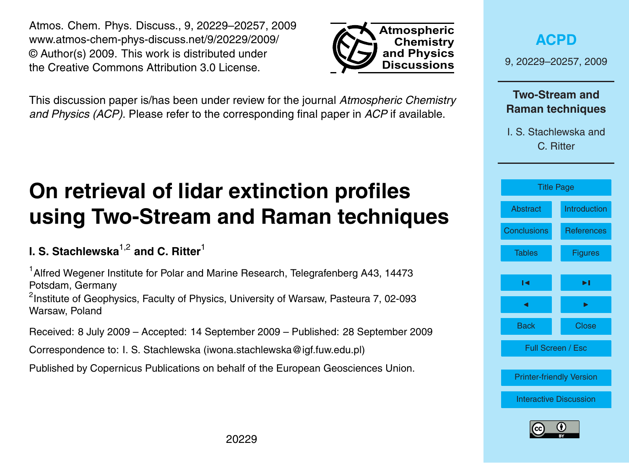20229

<span id="page-0-0"></span>Atmos. Chem. Phys. Discuss., 9, 20229–20257, 2009 www.atmos-chem-phys-discuss.net/9/20229/2009/ © Author(s) 2009. This work is distributed under the Creative Commons Attribution 3.0 License.

This discussion paper is/has been under review for the journal *Atmospheric Chemistry and Physics (ACP)*. Please refer to the corresponding final paper in *ACP* if available.

# **On retrieval of lidar extinction profiles using Two-Stream and Raman techniques**

# **I. S. Stachlewska**1,2 **and C. Ritter**<sup>1</sup>

<sup>1</sup> Alfred Wegener Institute for Polar and Marine Research, Telegrafenberg A43, 14473 Potsdam, Germany

<sup>2</sup>Institute of Geophysics, Faculty of Physics, University of Warsaw, Pasteura 7, 02-093 Warsaw, Poland

Received: 8 July 2009 – Accepted: 14 September 2009 – Published: 28 September 2009

Correspondence to: I. S. Stachlewska (iwona.stachlewska@igf.fuw.edu.pl)

Published by Copernicus Publications on behalf of the European Geosciences Union.



**Atmospheric Chemistry and Physics Discussions**

[Interactive Discussion](http://www.atmos-chem-phys-discuss.net/9/20229/2009/acpd-9-20229-2009-discussion.html)

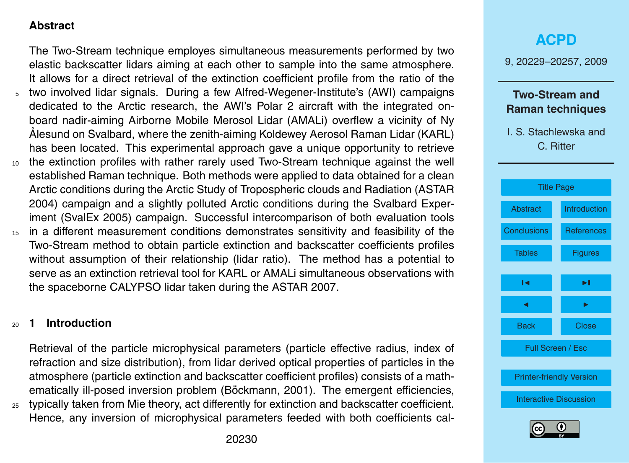## <span id="page-1-0"></span>**Abstract**

The Two-Stream technique employes simultaneous measurements performed by two elastic backscatter lidars aiming at each other to sample into the same atmosphere. It allows for a direct retrieval of the extinction coefficient profile from the ratio of the <sup>5</sup> two involved lidar signals. During a few Alfred-Wegener-Institute's (AWI) campaigns dedicated to the Arctic research, the AWI's Polar 2 aircraft with the integrated onboard nadir-aiming Airborne Mobile Merosol Lidar (AMALi) overflew a vicinity of Ny Alesund on Svalbard, where the zenith-aiming Koldewey Aerosol Raman Lidar (KARL) ˚ has been located. This experimental approach gave a unique opportunity to retrieve <sup>10</sup> the extinction profiles with rather rarely used Two-Stream technique against the well established Raman technique. Both methods were applied to data obtained for a clean Arctic conditions during the Arctic Study of Tropospheric clouds and Radiation (ASTAR 2004) campaign and a slightly polluted Arctic conditions during the Svalbard Experiment (SvalEx 2005) campaign. Successful intercomparison of both evaluation tools

<sup>15</sup> in a different measurement conditions demonstrates sensitivity and feasibility of the Two-Stream method to obtain particle extinction and backscatter coefficients profiles without assumption of their relationship (lidar ratio). The method has a potential to serve as an extinction retrieval tool for KARL or AMALi simultaneous observations with the spaceborne CALYPSO lidar taken during the ASTAR 2007.

## <sup>20</sup> **1 Introduction**

Retrieval of the particle microphysical parameters (particle effective radius, index of refraction and size distribution), from lidar derived optical properties of particles in the atmosphere (particle extinction and backscatter coefficient profiles) consists of a math-ematically ill-posed inversion problem (Böckmann, [2001\)](#page-21-0). The emergent efficiencies, <sup>25</sup> typically taken from Mie theory, act differently for extinction and backscatter coefficient.

Hence, any inversion of microphysical parameters feeded with both coefficients cal-

**[ACPD](http://www.atmos-chem-phys-discuss.net)** 9, 20229–20257, 2009 **Two-Stream and Raman techniques** I. S. Stachlewska and C. Ritter [Title Page](#page-0-0) Abstract Introduction [Conclusions](#page-15-0) [References](#page-21-0) Tables **[Figures](#page-24-0)**  $\sim$  J  $\sim$ **J** I I I I Back Close Full Screen / Esc [Printer-friendly Version](http://www.atmos-chem-phys-discuss.net/9/20229/2009/acpd-9-20229-2009-print.pdf) [Interactive Discussion](http://www.atmos-chem-phys-discuss.net/9/20229/2009/acpd-9-20229-2009-discussion.html)

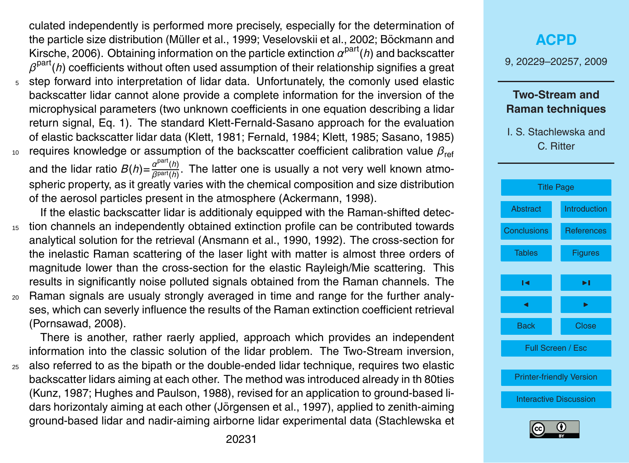<span id="page-2-0"></span>culated independently is performed more precisely, especially for the determination of [t](#page-21-0)he particle size distribution (Müller et al., [1999;](#page-22-0) [Veselovskii et al.,](#page-23-0) [2002;](#page-23-0) Böckmann and [Kirsche,](#page-21-0) [2006\)](#page-21-0). Obtaining information on the particle extinction *α* part(*h*) and backscatter  $\beta^{\text{part}}(h)$  coefficients without often used assumption of their relationship signifies a great <sup>5</sup> step forward into interpretation of lidar data. Unfortunately, the comonly used elastic backscatter lidar cannot alone provide a complete information for the inversion of the microphysical parameters (two unknown coefficients in one equation describing a lidar return signal, Eq. [1\)](#page-4-0). The standard Klett-Fernald-Sasano approach for the evaluation of elastic backscatter lidar data [\(Klett,](#page-21-0) [1981;](#page-21-0) [Fernald,](#page-21-0) [1984;](#page-21-0) [Klett,](#page-22-0) [1985;](#page-22-0) [Sasano,](#page-22-0) [1985\)](#page-22-0) <sup>10</sup> requires knowledge or assumption of the backscatter coefficient calibration value  $β_{ref}$ 

and the lidar ratio  $B(h) = \frac{a^{\text{part}}(h)}{a^{\text{part}}(h)}$ *β*part(*h*) . The latter one is usually a not very well known atmospheric property, as it greatly varies with the chemical composition and size distribution of the aerosol particles present in the atmosphere [\(Ackermann,](#page-21-0) [1998\)](#page-21-0).

- If the elastic backscatter lidar is additionaly equipped with the Raman-shifted detec-<sup>15</sup> tion channels an independently obtained extinction profile can be contributed towards analytical solution for the retrieval [\(Ansmann et al.,](#page-21-0) [1990,](#page-21-0) [1992\)](#page-21-0). The cross-section for the inelastic Raman scattering of the laser light with matter is almost three orders of magnitude lower than the cross-section for the elastic Rayleigh/Mie scattering. This results in significantly noise polluted signals obtained from the Raman channels. The <sup>20</sup> Raman signals are usualy strongly averaged in time and range for the further analy-
- ses, which can severly influence the results of the Raman extinction coefficient retrieval [\(Pornsawad,](#page-22-0) [2008\)](#page-22-0).

There is another, rather raerly applied, approach which provides an independent information into the classic solution of the lidar problem. The Two-Stream inversion, <sup>25</sup> also referred to as the bipath or the double-ended lidar technique, requires two elastic backscatter lidars aiming at each other. The method was introduced already in th 80ties [\(Kunz,](#page-22-0) [1987;](#page-22-0) [Hughes and Paulson,](#page-21-0) [1988\)](#page-21-0), revised for an application to ground-based li-dars horizontaly aiming at each other (Jörgensen et al., [1997\)](#page-22-0), applied to zenith-aiming [g](#page-23-0)round-based lidar and nadir-aiming airborne lidar experimental data [\(Stachlewska et](#page-23-0)

# **[ACPD](http://www.atmos-chem-phys-discuss.net)**

9, 20229–20257, 2009

## **Two-Stream and Raman techniques**



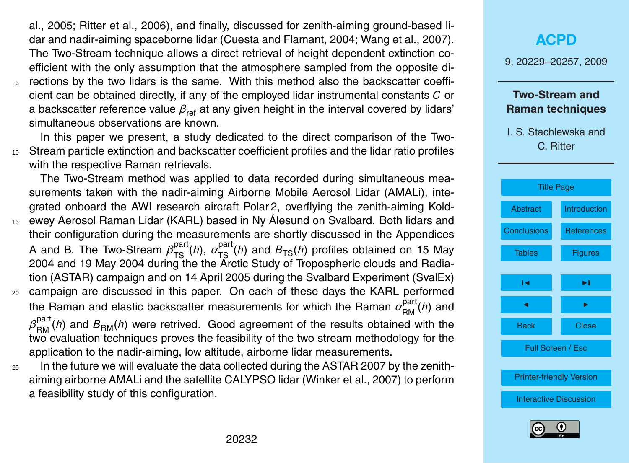<span id="page-3-0"></span>[al.,](#page-23-0) [2005;](#page-23-0) [Ritter et al.,](#page-22-0) [2006\)](#page-22-0)[, and finally, discussed for zenith-aiming ground-based li](#page-23-0)dar and nadir-aiming spaceborne lidar [\(Cuesta and Flamant,](#page-21-0) [2004;](#page-21-0) [Wang et al.,](#page-23-0) [2007\)](#page-23-0). The Two-Stream technique allows a direct retrieval of height dependent extinction coefficient [w](#page-23-0)ith the only assumption that the atmosphere sampled from the opposite di-<sup>5</sup> rections by the two lidars is the same. With this method also the backscatter coeffi-

cient can be obtained directly, if any of the employed lidar instrumental constants *C* or a backscatter reference value  $\beta_{\text{ref}}$  at any given height in the interval covered by lidars' simultaneous observations are known.

In this paper we present, a study dedicated to the direct comparison of the Two-<sup>10</sup> Stream particle extinction and backscatter coefficient profiles and the lidar ratio profiles with the respective Raman retrievals.

The Two-Stream method was applied to data recorded during simultaneous measurements taken with the nadir-aiming Airborne Mobile Aerosol Lidar (AMALi), integrated onboard the AWI research aircraft Polar 2, overflying the zenith-aiming Kold-15 ewey Aerosol Raman Lidar (KARL) based in Ny Ålesund on Svalbard. Both lidars and their configuration during the measurements are shortly discussed in the Appendices A and B. The Two-Stream  $\beta_{TS}^{part}(h)$ ,  $\alpha_{TS}^{part}(h)$  and  $B_{TS}(h)$  profiles obtained on 15 May 2004 and 19 May 2004 during the the Arctic Study of Tropospheric clouds and Radiation (ASTAR) campaign and on 14 April 2005 during the Svalbard Experiment (SvalEx)

- <sup>20</sup> campaign are discussed in this paper. On each of these days the KARL performed the Raman and elastic backscatter measurements for which the Raman  $\alpha^{\text{part}}_{\text{RM}}(h)$  and  $\beta_{\mathsf{RM}}^{\mathsf{part}}(\mathit{h})$  and  $B_{\mathsf{RM}}(\mathit{h})$  were retrived. Good agreement of the results obtained with the two evaluation techniques proves the feasibility of the two stream methodology for the application to the nadir-aiming, low altitude, airborne lidar measurements.
- <sup>25</sup> In the future we will evaluate the data collected during the ASTAR 2007 by the zenithaiming airborne AMALi and the satellite CALYPSO lidar [\(Winker et al.,](#page-23-0) [2007\)](#page-23-0) to perform a feasibility study of this configuration.

# **[ACPD](http://www.atmos-chem-phys-discuss.net)**

9, 20229–20257, 2009

### **Two-Stream and Raman techniques**



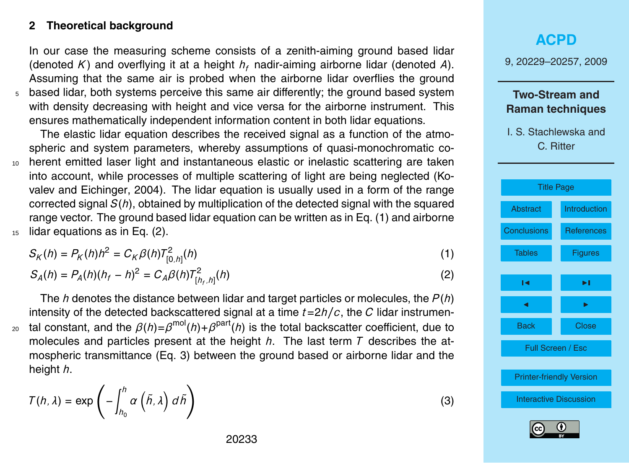## <span id="page-4-0"></span>**2 Theoretical background**

In our case the measuring scheme consists of a zenith-aiming ground based lidar (denoted K) and overflying it at a height  $h_f$  nadir-aiming airborne lidar (denoted A). Assuming that the same air is probed when the airborne lidar overflies the ground <sup>5</sup> based lidar, both systems perceive this same air differently; the ground based system with density decreasing with height and vice versa for the airborne instrument. This ensures mathematically independent information content in both lidar equations.

The elastic lidar equation describes the received signal as a function of the atmospheric and system parameters, whereby assumptions of quasi-monochromatic co-<sup>10</sup> herent emitted laser light and instantaneous elastic or inelastic scattering are taken [i](#page-22-0)nto account, while processes of multiple scattering of light are being neglected [\(Ko](#page-22-0)[valev and Eichinger,](#page-22-0) [2004\)](#page-22-0). The lidar equation is usually used in a form of the range corrected signal *S*(*h*), obtained by multiplication of the detected signal with the squared range vector. The ground based lidar equation can be written as in Eq. (1) and airborne

<sup>15</sup> lidar equations as in Eq. (2).

$$
S_K(h) = P_K(h)h^2 = C_K \beta(h)T_{[0,h]}^2(h)
$$
\n(1)

$$
S_A(h) = P_A(h)(h_f - h)^2 = C_A \beta(h) T_{[h_f, h]}^2(h)
$$
\n(2)

The *h* denotes the distance between lidar and target particles or molecules, the *P* (*h*) intensity of the detected backscattered signal at a time *t*=2*h/c*, the *C* lidar instrumen- $_{{\rm 20}}$  tal constant, and the  $\beta(h)\text{=}\beta^{\text{mol}}(h)\text{+}\beta^{\text{part}}(h)$  is the total backscatter coefficient, due to molecules and particles present at the height *h*. The last term *T* describes the atmospheric transmittance (Eq. 3) between the ground based or airborne lidar and the height *h*.

$$
\mathcal{T}(h,\lambda) = \exp\left(-\int_{h_0}^h \alpha\left(\tilde{h},\lambda\right) d\tilde{h}\right)
$$

9, 20229–20257, 2009

## **Two-Stream and Raman techniques**

I. S. Stachlewska and C. Ritter





(3)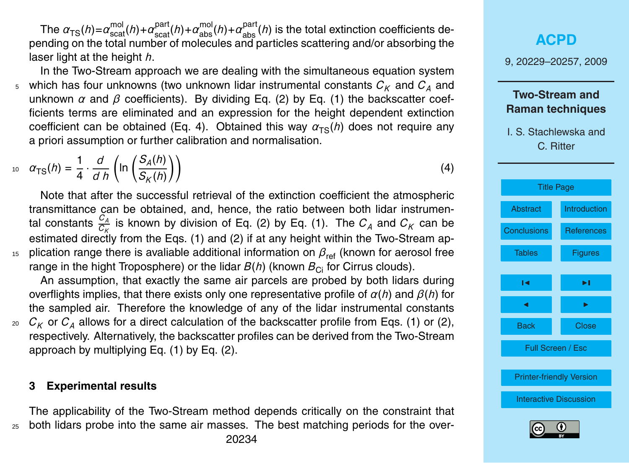<span id="page-5-0"></span>The  $\alpha_{TS}(h) = \alpha_{\rm scat}^{\rm mol}(h) + \alpha_{\rm scat}^{\rm part}(h) + \alpha_{\rm abs}^{\rm mol}(h) + \alpha_{\rm abs}^{\rm part}(h)$  is the total extinction coefficients depending on the total number of molecules and particles scattering and/or absorbing the laser light at the height *h*.

In the Two-Stream approach we are dealing with the simultaneous equation system 5 which has four unknowns (two unknown lidar instrumental constants  $C_K$  and  $C_A$  and unknown  $\alpha$  and  $\beta$  coefficients). By dividing Eq. [\(2\)](#page-4-0) by Eq. [\(1\)](#page-4-0) the backscatter coefficients terms are eliminated and an expression for the height dependent extinction coefficient can be obtained (Eq. 4). Obtained this way  $\alpha_{TS}(h)$  does not require any a priori assumption or further calibration and normalisation.

$$
\alpha_{\text{TS}}(h) = \frac{1}{4} \cdot \frac{d}{d \, h} \left( \ln \left( \frac{S_A(h)}{S_K(h)} \right) \right) \tag{4}
$$

Note that after the successful retrieval of the extinction coefficient the atmospheric transmittance can be obtained, and, hence, the ratio between both lidar instrumental constants  $\frac{C_A}{C_K}$  is known by division of Eq. [\(2\)](#page-4-0) by Eq. [\(1\)](#page-4-0). The  $C_A$  and  $C_K$  can be estimated directly from the Eqs. [\(1\)](#page-4-0) and [\(2\)](#page-4-0) if at any height within the Two-Stream ap-<sup>15</sup> plication range there is avaliable additional information on  $β_{ref}$  (known for aerosol free range in the hight Troposphere) or the lidar  $B(h)$  (known  $B_{\text{Ci}}$  for Cirrus clouds).

An assumption, that exactly the same air parcels are probed by both lidars during overflights implies, that there exists only one representative profile of *α*(*h*) and *β*(*h*) for the sampled air. Therefore the knowledge of any of the lidar instrumental constants  $20 \, C_K$  or  $C_A$  allows for a direct calculation of the backscatter profile from Eqs. [\(1\)](#page-4-0) or [\(2\)](#page-4-0), respectively. Alternatively, the backscatter profiles can be derived from the Two-Stream approach by multiplying Eq. [\(1\)](#page-4-0) by Eq. [\(2\)](#page-4-0).

#### **3 Experimental results**

The applicability of the Two-Stream method depends critically on the constraint that <sup>25</sup> both lidars probe into the same air masses. The best matching periods for the over-

# **[ACPD](http://www.atmos-chem-phys-discuss.net)**

9, 20229–20257, 2009

## **Two-Stream and Raman techniques**



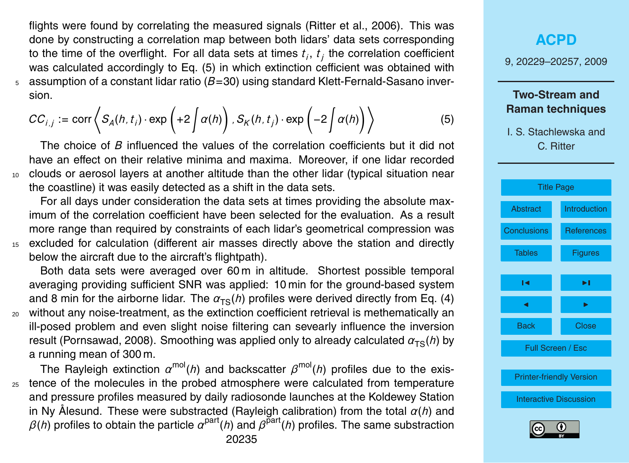<span id="page-6-0"></span>flights were found by correlating the measured signals [\(Ritter et al.,](#page-22-0) [2006\)](#page-22-0). This was done by constructing a correlation map between both lidars' data sets corresponding to the time of the overflight. For all data sets at times *t<sup>i</sup>* , *t<sup>j</sup>* the correlation coefficient was calculated accordingly to Eq. (5) in which extinction cefficient was obtained with <sup>5</sup> assumption of a constant lidar ratio (*B*=30) using standard Klett-Fernald-Sasano inversion.

$$
CC_{i,j} := \text{corr}\left\langle S_A(h,t_i)\cdot \exp\left(+2\int \alpha(h)\right), S_K(h,t_j)\cdot \exp\left(-2\int \alpha(h)\right)\right\rangle
$$
 (5)

The choice of *B* influenced the values of the correlation coefficients but it did not have an effect on their relative minima and maxima. Moreover, if one lidar recorded <sup>10</sup> clouds or aerosol layers at another altitude than the other lidar (typical situation near the coastline) it was easily detected as a shift in the data sets.

For all days under consideration the data sets at times providing the absolute maximum of the correlation coefficient have been selected for the evaluation. As a result more range than required by constraints of each lidar's geometrical compression was <sup>15</sup> excluded for calculation (different air masses directly above the station and directly below the aircraft due to the aircraft's flightpath).

Both data sets were averaged over 60 m in altitude. Shortest possible temporal averaging providing sufficient SNR was applied: 10 min for the ground-based system and 8 min for the airborne lidar. The  $\alpha_{TS}(h)$  profiles were derived directly from Eq. [\(4\)](#page-5-0) <sup>20</sup> without any noise-treatment, as the extinction coefficient retrieval is methematically an ill-posed problem and even slight noise filtering can sevearly influence the inversion result [\(Pornsawad,](#page-22-0) [2008\)](#page-22-0). Smoothing was applied only to already calculated  $\alpha_{TS}(h)$  by a running mean of 300 m.

The Rayleigh extinction *α* mol(*h*) and backscatter *β* mol(*h*) profiles due to the exis-<sup>25</sup> tence of the molecules in the probed atmosphere were calculated from temperature and pressure profiles measured by daily radiosonde launches at the Koldewey Station in Ny Alesund. These were substracted (Rayleigh calibration) from the total  $\alpha(h)$  and  $\beta(h)$  profiles to obtain the particle  $\alpha^{\text{part}}(h)$  and  $\beta^{\text{part}}(h)$  profiles. The same substraction 20235

# **[ACPD](http://www.atmos-chem-phys-discuss.net)**

9, 20229–20257, 2009

## **Two-Stream and Raman techniques**



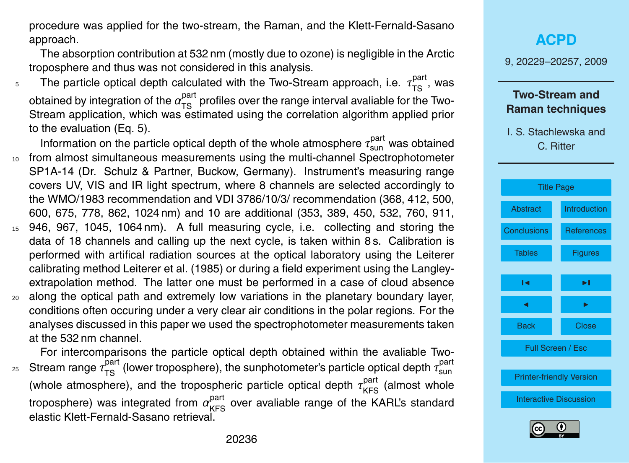<span id="page-7-0"></span>procedure was applied for the two-stream, the Raman, and the Klett-Fernald-Sasano approach.

The absorption contribution at 532 nm (mostly due to ozone) is negligible in the Arctic troposphere and thus was not considered in this analysis.

- $_5$  The particle optical depth calculated with the Two-Stream approach, i.e.  $\tau^{\text{part}}_{\text{TS}}$ , was obtained by integration of the  $\alpha_{\text{TS}}^{\text{part}}$  profiles over the range interval avaliable for the Two-Stream application, which was estimated using the correlation algorithm applied prior to the evaluation (Eq. [5\)](#page-6-0).
- Information on the particle optical depth of the whole atmosphere  $\tau_\mathsf{sun}^\mathsf{part}$  was obtained <sup>10</sup> from almost simultaneous measurements using the multi-channel Spectrophotometer SP1A-14 (Dr. Schulz & Partner, Buckow, Germany). Instrument's measuring range covers UV, VIS and IR light spectrum, where 8 channels are selected accordingly to the WMO/1983 recommendation and VDI 3786/10/3/ recommendation (368, 412, 500, 600, 675, 778, 862, 1024 nm) and 10 are additional (353, 389, 450, 532, 760, 911, <sup>15</sup> 946, 967, 1045, 1064 nm). A full measuring cycle, i.e. collecting and storing the data of 18 channels and calling up the next cycle, is taken within 8 s. Calibration is
- performed with artifical radiation sources at the optical laboratory using the Leiterer calibrating method [Leiterer et al.](#page-22-0) [\(1985\)](#page-22-0) or during a field experiment using the Langleyextrapolation method. The latter one must be performed in a case of cloud absence
- <sup>20</sup> along the optical path and extremely low variations in the planetary boundary layer, conditions often occuring under a very clear air conditions in the polar regions. For the analyses discussed in this paper we used the spectrophotometer measurements taken at the 532 nm channel.

For intercomparisons the particle optical depth obtained within the avaliable Two- $_{25}$  Stream range  $\tau^{\rm part}_{\rm TS}$  (lower troposphere), the sunphotometer's particle optical depth  $\tau^{\rm part}_{\rm sun}$ (whole atmosphere), and the tropospheric particle optical depth  $\tau_{\mathsf{KFS}}^{\mathsf{part}}$  (almost whole troposphere) was integrated from  $\alpha_{\rm KFS}^{\rm part}$  over avaliable range of the KARL's standard elastic Klett-Fernald-Sasano retrieval.

# **[ACPD](http://www.atmos-chem-phys-discuss.net)** 9, 20229–20257, 2009 **Two-Stream and**

# **Raman techniques**



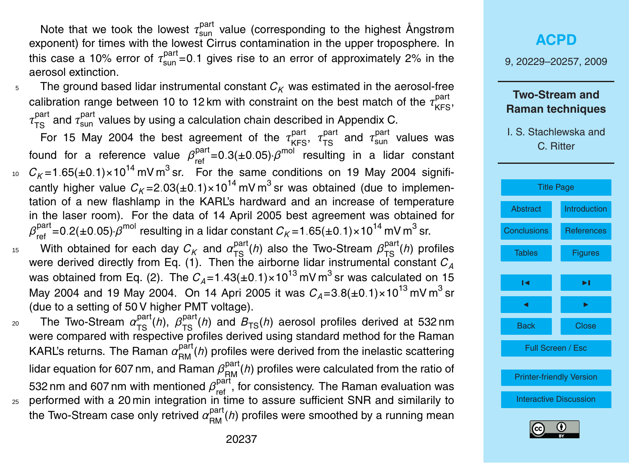Note that we took the lowest  $\tau_{\text{sun}}^{\text{part}}$  value (corresponding to the highest Ångstrøm exponent) for times with the lowest Cirrus contamination in the upper troposphere. In this case a 10% error of  $\tau^{\text{part}}_{\text{sun}}$ =0.1 gives rise to an error of approximately 2% in the aerosol extinction.

 $5$  The ground based lidar instrumental constant  $C_K$  was estimated in the aerosol-free calibration range between 10 to 12 km with constraint on the best match of the  $\tau_\mathsf{KFS}^\mathsf{part}$ ,  $\tau_{\text{TS}}^{\text{part}}$  and  $\tau_{\text{sun}}^{\text{part}}$  values by using a calculation chain described in Appendix C.

For 15 May 2004 the best agreement of the  $\tau_{\rm KFS}^{\rm part}$ ,  $\tau_{\rm TS}^{\rm part}$  and  $\tau_{\rm sun}^{\rm part}$  values was found for a reference value  $β_{\text{ref}}^{\text{part}} = 0.3(\pm 0.05)·β^{\text{mol}}$  resulting in a lidar constant  $c_{\textit{K}}$ =1.65(±0.1)×10<sup>14</sup> mV m<sup>3</sup> sr. For the same conditions on 19 May 2004 signifi-

- cantly higher value  $C_K$ =2.03(±0.1)×10<sup>14</sup> mV m<sup>3</sup> sr was obtained (due to implementation of a new flashlamp in the KARL's hardward and an increase of temperature in the laser room). For the data of 14 April 2005 best agreement was obtained for  $\beta_{\sf ref}^{\sf part}$ =0.2(±0.05)· $\beta^{\sf mol}$  resulting in a lidar constant  $C_K$ =1.65(±0.1)×10<sup>14</sup> mV m<sup>3</sup> sr.
- <sup>15</sup> With obtained for each day  $C_K$  and  $a_{TS}^{part}(h)$  also the Two-Stream  $β_{TS}^{part}(h)$  profiles were derived directly from Eq. [\(1\)](#page-4-0). Then the airborne lidar instrumental constant *C<sup>A</sup>* was obtained from Eq. [\(2\)](#page-4-0). The  $C_A^{}\text{=}$ 1.43( $\text{\pm}$ 0.1) $\times$ 10<sup>13</sup> mV m $^3$  sr was calculated on 15 May 2004 and 19 May 2004. On 14 Apri 2005 it was  $C_A{=}3.8(\pm0.1){\times}10^{13}$  mV m $^3$  sr (due to a setting of 50 V higher PMT voltage).
- $\alpha$  The Two-Stream  $\alpha_{TS}^{part}(h)$ ,  $\beta_{TS}^{part}(h)$  and  $B_{TS}(h)$  aerosol profiles derived at 532 nm were compared with respective profiles derived using standard method for the Raman KARL's returns. The Raman  $\alpha^{\text{part}}_{\text{RM}}(\textit{h})$  profiles were derived from the inelastic scattering lidar equation for 607 nm, and Raman  $\beta^{\text{part}}_{\text{RM}}(\mathit{h})$  profiles were calculated from the ratio of 532 nm and 607 nm with mentioned  $β_{\text{ref}}^{\text{part}}$ , for consistency. The Raman evaluation was <sup>25</sup> performed with a 20 min integration in time to assure sufficient SNR and similarily to the Two-Stream case only retrived  $\alpha_{\sf RM}^{\sf part}(\mathit{h})$  profiles were smoothed by a running mean

# **[ACPD](http://www.atmos-chem-phys-discuss.net)**

9, 20229–20257, 2009

### **Two-Stream and Raman techniques**



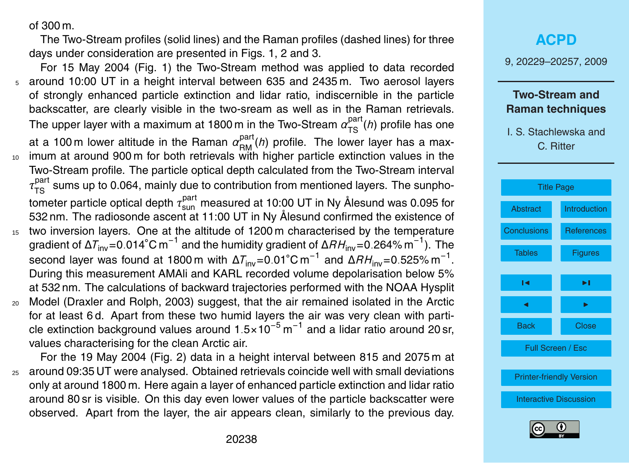<span id="page-9-0"></span>of 300 m.

The Two-Stream profiles (solid lines) and the Raman profiles (dashed lines) for three days under consideration are presented in Figs. [1,](#page-24-0) [2](#page-25-0) and [3.](#page-26-0)

- For 15 May 2004 (Fig. [1\)](#page-24-0) the Two-Stream method was applied to data recorded <sup>5</sup> around 10:00 UT in a height interval between 635 and 2435 m. Two aerosol layers of strongly enhanced particle extinction and lidar ratio, indiscernible in the particle backscatter, are clearly visible in the two-sream as well as in the Raman retrievals. The upper layer with a maximum at 1800 m in the Two-Stream  $\alpha_{\text{TS}}^{\text{part}}(\textit{h})$  profile has one at a 100 m lower altitude in the Raman  $\alpha_{\mathsf{RM}}^{\mathsf{part}}(h)$  profile. The lower layer has a max-<sup>10</sup> imum at around 900 m for both retrievals with higher particle extinction values in the Two-Stream profile. The particle optical depth calculated from the Two-Stream interval  $\tau_{\rm TS}^{\rm part}$  sums up to 0.064, mainly due to contribution from mentioned layers. The sunphotometer particle optical depth  $\tau_\mathsf{sun}^\mathsf{part}$  measured at 10:00 UT in Ny Ålesund was 0.095 for 532 nm. The radiosonde ascent at 11:00 UT in Ny Ålesund confirmed the existence of 15 two inversion layers. One at the altitude of 1200 m characterised by the temperature gradient of <sup>∆</sup>*T*inv=0*.*014◦C m−<sup>1</sup> and the humidity gradient of <sup>∆</sup>*RH*inv=0*.*264% m−<sup>1</sup> ). The second layer was found at 1800 m with ∆*T*<sub>inv</sub>=0.01°C m<sup>−1</sup> and ∆*RH*<sub>inv</sub>=0.525% m<sup>−1</sup>. During this measurement AMAli and KARL recorded volume depolarisation below 5% at 532 nm. The calculations of backward trajectories performed with the NOAA Hysplit
- <sup>20</sup> Model [\(Draxler and Rolph,](#page-21-0) [2003\)](#page-21-0) suggest, that the air remained isolated in the Arctic for at least 6 d. Apart from these two humid layers the air was very clean with particle extinction background values around 1*.*5×10−<sup>5</sup> m −1 and a lidar ratio around 20 sr, values characterising for the clean Arctic air.

For the 19 May 2004 (Fig. [2\)](#page-25-0) data in a height interval between 815 and 2075 m at <sup>25</sup> around 09:35 UT were analysed. Obtained retrievals coincide well with small deviations only at around 1800 m. Here again a layer of enhanced particle extinction and lidar ratio around 80 sr is visible. On this day even lower values of the particle backscatter were observed. Apart from the layer, the air appears clean, similarly to the previous day.

## **[ACPD](http://www.atmos-chem-phys-discuss.net)**

9, 20229–20257, 2009

### **Two-Stream and Raman techniques**



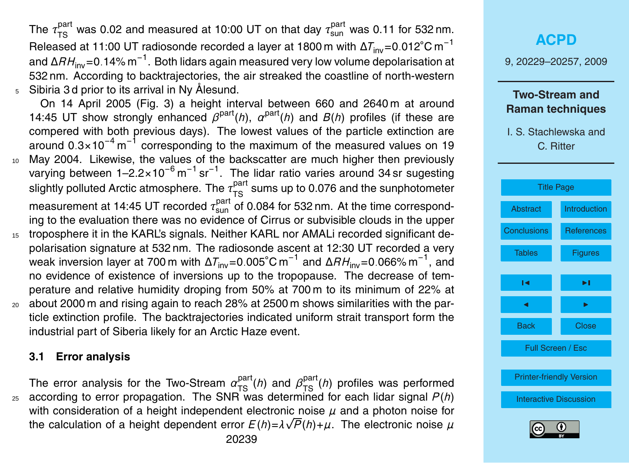The  $\tau_{\rm TS}^{\rm part}$  was 0.02 and measured at 10:00 UT on that day  $\tau_{\rm sun}^{\rm part}$  was 0.11 for 532 nm. Released at 11:00 UT radiosonde recorded a layer at 1800 m with  $ΔT<sub>inv</sub>=0.012°C m<sup>-1</sup>$ and <sup>∆</sup>*RH*inv=0*.*14% m−<sup>1</sup> . Both lidars again measured very low volume depolarisation at 532 nm. According to backtrajectories, the air streaked the coastline of north-western  $5$  Sibiria 3d prior to its arrival in Ny Ålesund.

On 14 April 2005 (Fig. [3\)](#page-26-0) a height interval between 660 and 2640 m at around 14:45 UT show strongly enhanced  $\beta^{\text{part}}(h)$ ,  $\alpha^{\text{part}}(h)$  and  $B(h)$  profiles (if these are compered with both previous days). The lowest values of the particle extinction are around 0.3×10<sup>-4</sup> m<sup>-1</sup> corresponding to the maximum of the measured values on 19 <sup>10</sup> May 2004. Likewise, the values of the backscatter are much higher then previously varying between 1-2.2×10<sup>-6</sup> m<sup>-1</sup> sr<sup>-1</sup>. The lidar ratio varies around 34 sr sugesting slightly polluted Arctic atmosphere. The  $\tau^{\text{part}}_{\text{TS}}$  sums up to 0.076 and the sunphotometer measurement at 14:45 UT recorded  $\tau_\mathsf{sun}^\mathsf{part}$  of 0.084 for 532 nm. At the time corresponding to the evaluation there was no evidence of Cirrus or subvisible clouds in the upper

- 15 troposphere it in the KARL's signals. Neither KARL nor AMALi recorded significant depolarisation signature at 532 nm. The radiosonde ascent at 12:30 UT recorded a very weak inversion layer at 700 m with <sup>∆</sup>*T*inv=0*.*005◦C m−<sup>1</sup> and <sup>∆</sup>*RH*inv=0*.*066% m−<sup>1</sup> , and no evidence of existence of inversions up to the tropopause. The decrease of temperature and relative humidity droping from 50% at 700 m to its minimum of 22% at <sup>20</sup> about 2000 m and rising again to reach 28% at 2500 m shows similarities with the par-
- ticle extinction profile. The backtrajectories indicated uniform strait transport form the industrial part of Siberia likely for an Arctic Haze event.

#### **3.1 Error analysis**

The error analysis for the Two-Stream  $\alpha_{TS}^{part}(h)$  and  $\beta_{TS}^{part}(h)$  profiles was performed  $25$  according to error propagation. The SNR was determined for each lidar signal  $P(h)$ with consideration of a height independent electronic noise  $\mu$  and a photon noise for the calculation of a height dependent error  $E(h)$ = $\lambda \sqrt{P(h)}$ + $\mu$ . The electronic noise  $\mu$ 20239

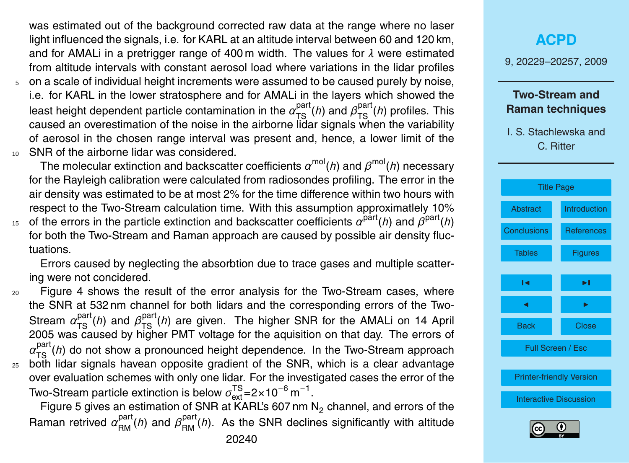was estimated out of the background corrected raw data at the range where no laser light influenced the signals, i.e. for KARL at an altitude interval between 60 and 120 km, and for AMALi in a pretrigger range of 400 m width. The values for *λ* were estimated from altitude intervals with constant aerosol load where variations in the lidar profiles

<sup>5</sup> on a scale of individual height increments were assumed to be caused purely by noise, i.e. for KARL in the lower stratosphere and for AMALi in the layers which showed the least height dependent particle contamination in the  $\alpha_{\rm{TS}}^{\rm{part}}(\hbar)$  and  $\beta_{\rm{TS}}^{\rm{part}}(\hbar)$  profiles. This caused an overestimation of the noise in the airborne lidar signals when the variability of aerosol in the chosen range interval was present and, hence, a lower limit of the <sup>10</sup> SNR of the airborne lidar was considered.

The molecular extinction and backscatter coefficients  $\alpha^{\rm mol}(h)$  and  $\beta^{\rm mol}(h)$  necessary for the Rayleigh calibration were calculated from radiosondes profiling. The error in the air density was estimated to be at most 2% for the time difference within two hours with respect to the Two-Stream calculation time. With this assumption approximatlely 10%  $\sigma$  of the errors in the particle extinction and backscatter coefficients  $\alpha^{\text{part}}(h)$  and  $\beta^{\text{part}}(h)$ for both the Two-Stream and Raman approach are caused by possible air density fluc-

tuations. Errors caused by neglecting the absorbtion due to trace gases and multiple scattering were not concidered.

<sup>20</sup> Figure [4](#page-27-0) shows the result of the error analysis for the Two-Stream cases, where the SNR at 532 nm channel for both lidars and the corresponding errors of the Two-Stream  $\alpha_{\text{TS}}^{\text{part}}(h)$  and  $\beta_{\text{TS}}^{\text{part}}(h)$  are given. The higher SNR for the AMALi on 14 April 2005 was caused by higher PMT voltage for the aquisition on that day. The errors of  $a_{\text{TS}}^{\text{part}}(h)$  do not show a pronounced height dependence. In the Two-Stream approach <sup>25</sup> both lidar signals havean opposite gradient of the SNR, which is a clear advantage over evaluation schemes with only one lidar. For the investigated cases the error of the Two-Stream particle extinction is below  $\sigma^\text{TS}_\text{ext}$ =2×10<sup>−6</sup> m<sup>−1</sup>.

Figure [5](#page-28-0) gives an estimation of SNR at KARL's 607 nm  $N_2$  channel, and errors of the Raman retrived  $\alpha_{\rm RM}^{\rm part}(\hbar)$  and  $\beta_{\rm RM}^{\rm part}(\hbar)$ . As the SNR declines significantly with altitude



[Printer-friendly Version](http://www.atmos-chem-phys-discuss.net/9/20229/2009/acpd-9-20229-2009-print.pdf)

[Interactive Discussion](http://www.atmos-chem-phys-discuss.net/9/20229/2009/acpd-9-20229-2009-discussion.html)

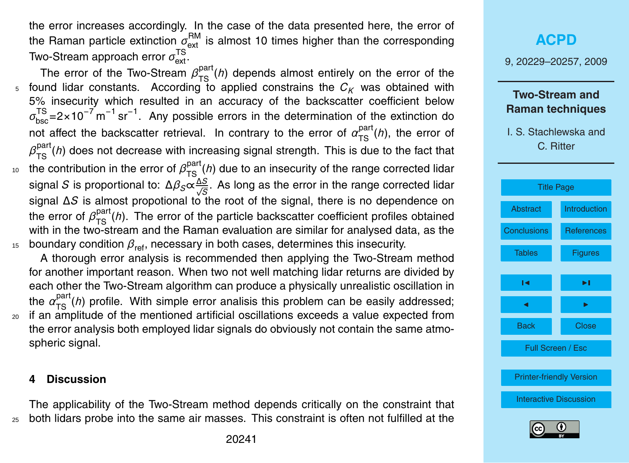the error increases accordingly. In the case of the data presented here, the error of the Raman particle extinction  $\sigma^\mathsf{RM}_\mathsf{ext}$  is almost 10 times higher than the corresponding Two-Stream approach error  $\sigma_\mathrm{ext}^\mathrm{TS}$ .

The error of the Two-Stream  $\beta_{TS}^{part}(h)$  depends almost entirely on the error of the  $5$  found lidar constants. According to applied constrains the  $C_K$  was obtained with 5% insecurity which resulted in an accuracy of the backscatter coefficient below  $\sigma_{\rm bsc}^{\rm TS}$ =2×10<sup>-7</sup> m<sup>-1</sup> sr<sup>-1</sup>. Any possible errors in the determination of the extinction do not affect the backscatter retrieval. In contrary to the error of  $\alpha_{\rm TS}^{\rm part}(\hbar)$ , the error of  $\beta_{\rm TS}^{\rm part}$ (*h*) does not decrease with increasing signal strength. This is due to the fact that <sup>10</sup> the contribution in the error of  $β_{TS}^{part}(h)$  due to an insecurity of the range corrected lidar signal *S* is proportional to: ∆*βS*∝ ∆*S* √ *S* . As long as the error in the range corrected lidar signal ∆*S* is almost propotional to the root of the signal, there is no dependence on the error of  $\beta_{\text{TS}}^{\text{part}}(h)$ . The error of the particle backscatter coefficient profiles obtained with in the two-stream and the Raman evaluation are similar for analysed data, as the <sup>15</sup> boundary condition  $β_{ref}$ , necessary in both cases, determines this insecurity.

A thorough error analysis is recommended then applying the Two-Stream method for another important reason. When two not well matching lidar returns are divided by each other the Two-Stream algorithm can produce a physically unrealistic oscillation in the α<sup>part</sup>(*h*) profile. With simple error analisis this problem can be easily addressed; <sup>20</sup> if an amplitude of the mentioned artificial oscillations exceeds a value expected from the error analysis both employed lidar signals do obviously not contain the same atmospheric signal.

#### **4 Discussion**

The applicability of the Two-Stream method depends critically on the constraint that <sup>25</sup> both lidars probe into the same air masses. This constraint is often not fulfilled at the

# **[ACPD](http://www.atmos-chem-phys-discuss.net)** 9, 20229–20257, 2009 **Two-Stream and Raman techniques** I. S. Stachlewska and C. Ritter [Title Page](#page-0-0) [Abstract](#page-1-0) [Introduction](#page-1-0) [Conclusions](#page-15-0) [References](#page-21-0) Tables [Figures](#page-24-0)  $\sim$  J  $\sim$ **J** I I I I Back Close Full Screen / Esc [Printer-friendly Version](http://www.atmos-chem-phys-discuss.net/9/20229/2009/acpd-9-20229-2009-print.pdf) [Interactive Discussion](http://www.atmos-chem-phys-discuss.net/9/20229/2009/acpd-9-20229-2009-discussion.html)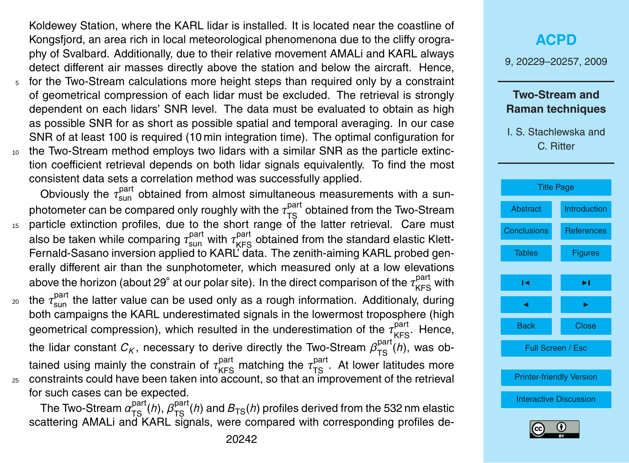Koldewey Station, where the KARL lidar is installed. It is located near the coastline of Kongsfjord, an area rich in local meteorological phenomenona due to the cliffy orography of Svalbard. Additionally, due to their relative movement AMALi and KARL always detect different air masses directly above the station and below the aircraft. Hence,

- <sup>5</sup> for the Two-Stream calculations more height steps than required only by a constraint of geometrical compression of each lidar must be excluded. The retrieval is strongly dependent on each lidars' SNR level. The data must be evaluated to obtain as high as possible SNR for as short as possible spatial and temporal averaging. In our case SNR of at least 100 is required (10 min integration time). The optimal configuration for
- <sup>10</sup> the Two-Stream method employs two lidars with a similar SNR as the particle extinction coefficient retrieval depends on both lidar signals equivalently. To find the most consistent data sets a correlation method was successfully applied.

Obviously the τ<sup>part</sup> obtained from almost simultaneous measurements with a sunphotometer can be compared only roughly with the  $\tau_{\text{TS}}^{\text{part}}$  obtained from the Two-Stream 15 particle extinction profiles, due to the short range of the latter retrieval. Care must also be taken while comparing  $\tau_{\text{sun}}^{\text{part}}$  with  $\tau_{\text{KFS}}^{\text{part}}$  obtained from the standard elastic Klett-Fernald-Sasano inversion applied to KARL<sup>"</sup> data. The zenith-aiming KARL probed generally different air than the sunphotometer, which measured only at a low elevations above the horizon (about 29° at our polar site). In the direct comparison of the τ<sup>part</sup> with

<sub>20</sub> the τ<sub>sun</sub> the latter value can be used only as a rough information. Additionaly, during both campaigns the KARL underestimated signals in the lowermost troposphere (high geometrical compression), which resulted in the underestimation of the  $\tau_{\sf KFS}^{\sf part}$ . Hence, the lidar constant  $C_K$ , necessary to derive directly the Two-Stream  $\beta_{\rm TS}^{\rm part}(\hbar)$ , was obtained using mainly the constrain of  $\tau_\mathsf{KFS}^\mathsf{part}$  matching the  $\tau_\mathsf{TS}^\mathsf{part}$ . At lower latitudes more <sup>25</sup> constraints could have been taken into account, so that an improvement of the retrieval for such cases can be expected.

The Two-Stream  $\alpha_{\rm TS}^{\rm part}(\hbar)$ ,  $\beta_{\rm TS}^{\rm part}(\hbar)$  and  $B_{\rm TS}(\hbar)$  profiles derived from the 532 nm elastic scattering AMALi and KARL signals, were compared with corresponding profiles de-



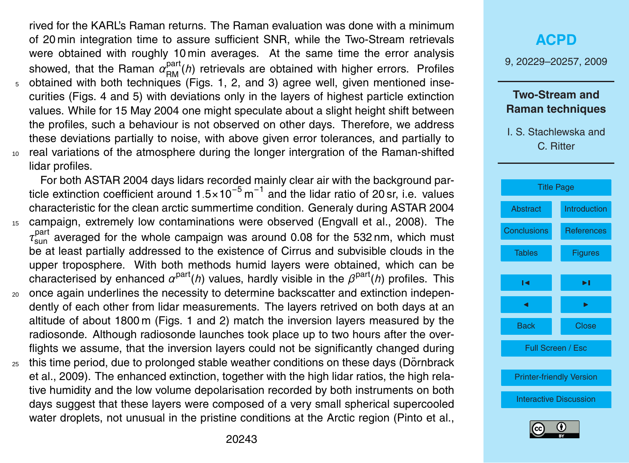<span id="page-14-0"></span>rived for the KARL's Raman returns. The Raman evaluation was done with a minimum of 20 min integration time to assure sufficient SNR, while the Two-Stream retrievals were obtained with roughly 10 min averages. At the same time the error analysis showed, that the Raman  $\alpha_{\text{RM}}^{\text{part}}(h)$  retrievals are obtained with higher errors. Profiles obtained with both techniques (Figs. [1,](#page-24-0) [2,](#page-25-0) and [3\)](#page-26-0) agree well, given mentioned insecurities (Figs. [4](#page-27-0) and [5\)](#page-28-0) with deviations only in the layers of highest particle extinction values. While for 15 May 2004 one might speculate about a slight height shift between the profiles, such a behaviour is not observed on other days. Therefore, we address these deviations partially to noise, with above given error tolerances, and partially to <sup>10</sup> real variations of the atmosphere during the longer intergration of the Raman-shifted lidar profiles.

For both ASTAR 2004 days lidars recorded mainly clear air with the background particle extinction coefficient around 1.5×10<sup>-5</sup> m<sup>-1</sup> and the lidar ratio of 20 sr, i.e. values characteristic for the clean arctic summertime condition. Generaly during ASTAR 2004

- <sup>15</sup> campaign, extremely low contaminations were observed [\(Engvall et al.,](#page-21-0) [2008\)](#page-21-0). The *τ* part sun averaged for the whole campaign was around 0.08 for the 532 nm, which must be at least partially addressed to the existence of Cirrus and subvisible clouds in the upper troposphere. With both methods humid layers were obtained, which can be characterised by enhanced  $\alpha^{\text{part}}(h)$  values, hardly visible in the  $\beta^{\text{part}}(h)$  profiles. This
- <sup>20</sup> once again underlines the necessity to determine backscatter and extinction independently of each other from lidar measurements. The layers retrived on both days at an altitude of about 1800 m (Figs. [1](#page-24-0) and [2\)](#page-25-0) match the inversion layers measured by the radiosonde. Although radiosonde launches took place up to two hours after the overflights we assume, that the inversion layers could not be significantly changed during
- $25$  [t](#page-21-0)his time period, due to prolonged stable weather conditions on these days (Dörnbrack [et al.,](#page-21-0) [2009\)](#page-21-0). The enhanced extinction, together with the high lidar ratios, the high relative humidity and the low volume depolarisation recorded by both instruments on both days suggest that these layers were composed of a very small spherical supercooled water droplets, not unusual in the pristine conditions at the Arctic region [\(Pinto et al.,](#page-22-0)

# **[ACPD](http://www.atmos-chem-phys-discuss.net)** 9, 20229–20257, 2009 **Two-Stream and Raman techniques** I. S. Stachlewska and C. Ritter [Title Page](#page-0-0) [Abstract](#page-1-0) [Introduction](#page-1-0) [Conclusions](#page-15-0) [References](#page-21-0) Tables **[Figures](#page-24-0)**  $\sim$  J  $\sim$ **J** I I I I



Back Close

Full Screen / Esc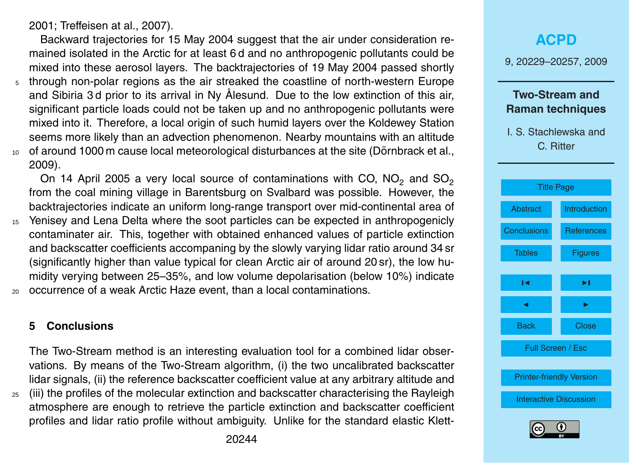<span id="page-15-0"></span>[2001;](#page-22-0) Treff[eisen at al.,](#page-23-0) [2007\)](#page-23-0).

Backward trajectories for 15 May 2004 suggest that the air under consideration remained isolated in the Arctic for at least 6 d and no anthropogenic pollutants could be mixed into these aerosol layers. The backtrajectories of 19 May 2004 passed shortly

- <sup>5</sup> through non-polar regions as the air streaked the coastline of north-western Europe and Sibiria 3d prior to its arrival in Ny Ålesund. Due to the low extinction of this air, significant particle loads could not be taken up and no anthropogenic pollutants were mixed into it. Therefore, a local origin of such humid layers over the Koldewey Station seems more likely than an advection phenomenon. Nearby mountains with an altitude
- $10$  of around 1000 m cause local meteorological disturbances at the site (Dörnbrack et al., [2009\)](#page-21-0).

On 14 April 2005 a very local source of contaminations with CO,  $NO<sub>2</sub>$  and  $SO<sub>2</sub>$ from the coal mining village in Barentsburg on Svalbard was possible. However, the backtrajectories indicate an uniform long-range transport over mid-continental area of

- <sup>15</sup> Yenisey and Lena Delta where the soot particles can be expected in anthropogenicly contaminater air. This, together with obtained enhanced values of particle extinction and backscatter coefficients accompaning by the slowly varying lidar ratio around 34 sr (significantly higher than value typical for clean Arctic air of around 20 sr), the low humidity verying between 25–35%, and low volume depolarisation (below 10%) indicate
- <sup>20</sup> occurrence of a weak Arctic Haze event, than a local contaminations.

### **5 Conclusions**

The Two-Stream method is an interesting evaluation tool for a combined lidar observations. By means of the Two-Stream algorithm, (i) the two uncalibrated backscatter lidar signals, (ii) the reference backscatter coefficient value at any arbitrary altitude and  $_{25}$  (iii) the profiles of the molecular extinction and backscatter characterising the Rayleigh atmosphere are enough to retrieve the particle extinction and backscatter coefficient profiles and lidar ratio profile without ambiguity. Unlike for the standard elastic Klett9, 20229–20257, 2009

## **Two-Stream and Raman techniques**



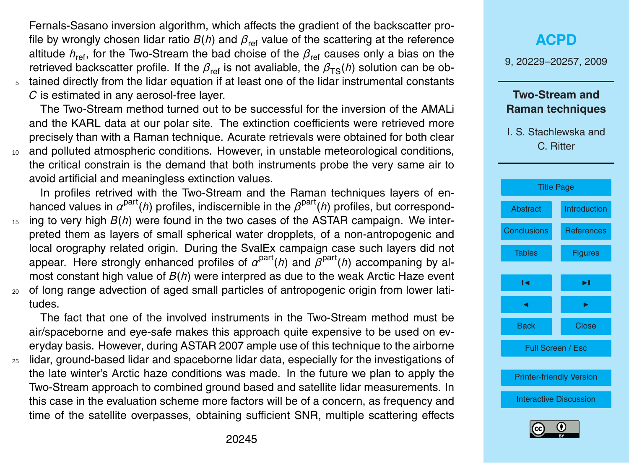Fernals-Sasano inversion algorithm, which affects the gradient of the backscatter profile by wrongly chosen lidar ratio  $B(h)$  and  $\beta_{\text{ref}}$  value of the scattering at the reference altitude  $h_{\text{ref}}$ , for the Two-Stream the bad choise of the  $\beta_{\text{ref}}$  causes only a bias on the retrieved backscatter profile. If the  $\beta_{\text{ref}}$  is not avaliable, the  $\beta_{\text{TS}}(h)$  solution can be ob-<sup>5</sup> tained directly from the lidar equation if at least one of the lidar instrumental constants *C* is estimated in any aerosol-free layer.

The Two-Stream method turned out to be successful for the inversion of the AMALi and the KARL data at our polar site. The extinction coefficients were retrieved more precisely than with a Raman technique. Acurate retrievals were obtained for both clear <sup>10</sup> and polluted atmospheric conditions. However, in unstable meteorological conditions, the critical constrain is the demand that both instruments probe the very same air to avoid artificial and meaningless extinction values.

In profiles retrived with the Two-Stream and the Raman techniques layers of enhanced values in  $\alpha^{\text{part}}(h)$  profiles, indiscernible in the  $\beta^{\text{part}}(h)$  profiles, but correspond-<sup>15</sup> ing to very high *B*(*h*) were found in the two cases of the ASTAR campaign. We interpreted them as layers of small spherical water dropplets, of a non-antropogenic and local orography related origin. During the SvalEx campaign case such layers did not appear. Here strongly enhanced profiles of  $\alpha^{\text{part}}(h)$  and  $\beta^{\text{part}}(h)$  accompaning by almost constant high value of *B*(*h*) were interpred as due to the weak Arctic Haze event <sup>20</sup> of long range advection of aged small particles of antropogenic origin from lower latitudes.

The fact that one of the involved instruments in the Two-Stream method must be air/spaceborne and eye-safe makes this approach quite expensive to be used on everyday basis. However, during ASTAR 2007 ample use of this technique to the airborne

<sup>25</sup> lidar, ground-based lidar and spaceborne lidar data, especially for the investigations of the late winter's Arctic haze conditions was made. In the future we plan to apply the Two-Stream approach to combined ground based and satellite lidar measurements. In this case in the evaluation scheme more factors will be of a concern, as frequency and time of the satellite overpasses, obtaining sufficient SNR, multiple scattering effects

# **[ACPD](http://www.atmos-chem-phys-discuss.net)** 9, 20229–20257, 2009 **Two-Stream and Raman techniques** I. S. Stachlewska and C. Ritter [Title Page](#page-0-0) [Abstract](#page-1-0) [Introduction](#page-1-0) [Conclusions](#page-15-0) [References](#page-21-0) Tables **[Figures](#page-24-0)**

 $\sim$  J  $\sim$ 

**J** I I I I

Back Close

Full Screen / Esc

[Printer-friendly Version](http://www.atmos-chem-phys-discuss.net/9/20229/2009/acpd-9-20229-2009-print.pdf)

[Interactive Discussion](http://www.atmos-chem-phys-discuss.net/9/20229/2009/acpd-9-20229-2009-discussion.html)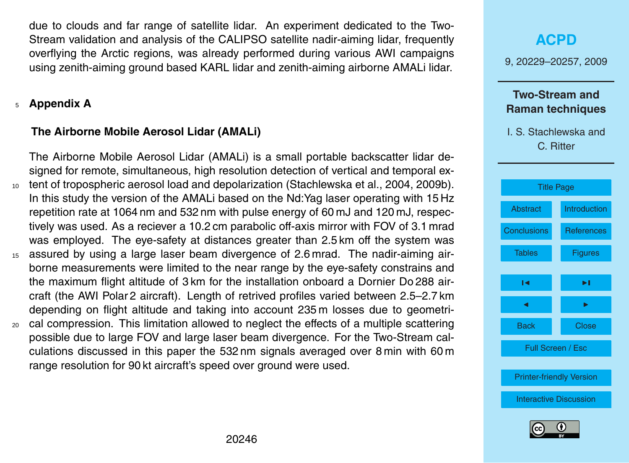<span id="page-17-0"></span>due to clouds and far range of satellite lidar. An experiment dedicated to the Two-Stream validation and analysis of the CALIPSO satellite nadir-aiming lidar, frequently overflying the Arctic regions, was already performed during various AWI campaigns using zenith-aiming ground based KARL lidar and zenith-aiming airborne AMALi lidar.

## <sup>5</sup> **Appendix A**

## **The Airborne Mobile Aerosol Lidar (AMALi)**

The Airborne Mobile Aerosol Lidar (AMALi) is a small portable backscatter lidar designed for remote, simultaneous, high resolution detection of vertical and temporal ex-<sup>10</sup> tent of tropospheric aerosol load and depolarization [\(Stachlewska et al.,](#page-23-0) [2004,](#page-23-0) [2009b\)](#page-23-0). In this study the version of the AMALi based on the Nd:Yag laser operating with 15 Hz repetition rate at 1064 nm and 532 nm with pulse energy of 60 mJ and 120 mJ, respectively was used. As a reciever a 10.2 cm parabolic off-axis mirror with FOV of 3.1 mrad was employed. The eye-safety at distances greater than 2.5 km off the system was <sup>15</sup> assured by using a large laser beam divergence of 2.6 mrad. The nadir-aiming airborne measurements were limited to the near range by the eye-safety constrains and the maximum flight altitude of 3 km for the installation onboard a Dornier Do 288 aircraft (the AWI Polar 2 aircraft). Length of retrived profiles varied between 2.5–2.7 km depending on flight altitude and taking into account 235 m losses due to geometri-<sup>20</sup> cal compression. This limitation allowed to neglect the effects of a multiple scattering possible due to large FOV and large laser beam divergence. For the Two-Stream calculations discussed in this paper the 532 nm signals averaged over 8 min with 60 m range resolution for 90 kt aircraft's speed over ground were used.

# **[ACPD](http://www.atmos-chem-phys-discuss.net)** 9, 20229–20257, 2009 **Two-Stream and Raman techniques** I. S. Stachlewska and C. Ritter [Title Page](#page-0-0) [Abstract](#page-1-0) [Introduction](#page-1-0) [Conclusions](#page-15-0) [References](#page-21-0) Tables [Figures](#page-24-0)  $\sim$  J  $\sim$ **J** I I I I Back Close Full Screen / Esc [Printer-friendly Version](http://www.atmos-chem-phys-discuss.net/9/20229/2009/acpd-9-20229-2009-print.pdf) [Interactive Discussion](http://www.atmos-chem-phys-discuss.net/9/20229/2009/acpd-9-20229-2009-discussion.html)

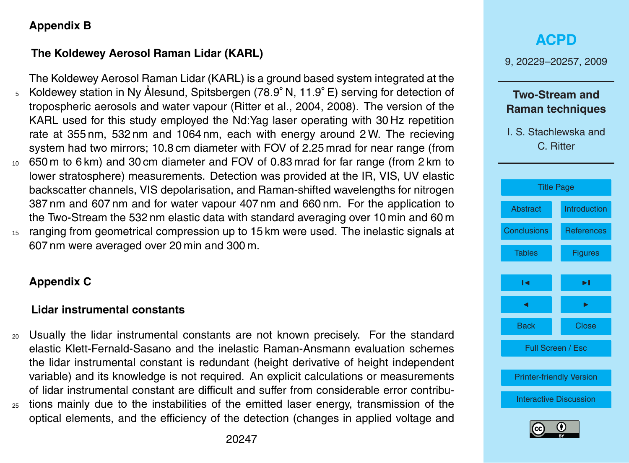## <span id="page-18-0"></span>**Appendix B**

# **The Koldewey Aerosol Raman Lidar (KARL)**

The Koldewey Aerosol Raman Lidar (KARL) is a ground based system integrated at the Koldewey station in Ny Alesund, Spitsbergen (78 ˚ *.*9 ◦ N, 11.9◦ <sup>5</sup> E) serving for detection of tropospheric aerosols and water vapour [\(Ritter et al.,](#page-22-0) [2004,](#page-22-0) [2008\)](#page-22-0). The version of the KARL used for this study employed the Nd:Yag laser operating with 30 Hz repetition rate at 355 nm, 532 nm and 1064 nm, each with energy around 2 W. The recieving system had two mirrors; 10.8 cm diameter with FOV of 2.25 mrad for near range (from <sup>10</sup> 650 m to 6 km) and 30 cm diameter and FOV of 0.83 mrad for far range (from 2 km to lower stratosphere) measurements. Detection was provided at the IR, VIS, UV elastic backscatter channels, VIS depolarisation, and Raman-shifted wavelengths for nitrogen 387 nm and 607 nm and for water vapour 407 nm and 660 nm. For the application to the Two-Stream the 532 nm elastic data with standard averaging over 10 min and 60 m

<sup>15</sup> ranging from geometrical compression up to 15 km were used. The inelastic signals at 607 nm were averaged over 20 min and 300 m.

# **Appendix C**

## **Lidar instrumental constants**

<sup>20</sup> Usually the lidar instrumental constants are not known precisely. For the standard elastic Klett-Fernald-Sasano and the inelastic Raman-Ansmann evaluation schemes the lidar instrumental constant is redundant (height derivative of height independent variable) and its knowledge is not required. An explicit calculations or measurements of lidar instrumental constant are difficult and suffer from considerable error contribu-<sup>25</sup> tions mainly due to the instabilities of the emitted laser energy, transmission of the

# **[ACPD](http://www.atmos-chem-phys-discuss.net)** 9, 20229–20257, 2009 **Two-Stream and Raman techniques** I. S. Stachlewska and C. Ritter [Title Page](#page-0-0) [Abstract](#page-1-0) [Introduction](#page-1-0) [Conclusions](#page-15-0) [References](#page-21-0) Tables [Figures](#page-24-0)  $\sim$  J  $\sim$ **J** I I I I Back Close Full Screen / Esc [Printer-friendly Version](http://www.atmos-chem-phys-discuss.net/9/20229/2009/acpd-9-20229-2009-print.pdf) [Interactive Discussion](http://www.atmos-chem-phys-discuss.net/9/20229/2009/acpd-9-20229-2009-discussion.html)



optical elements, and the efficiency of the detection (changes in applied voltage and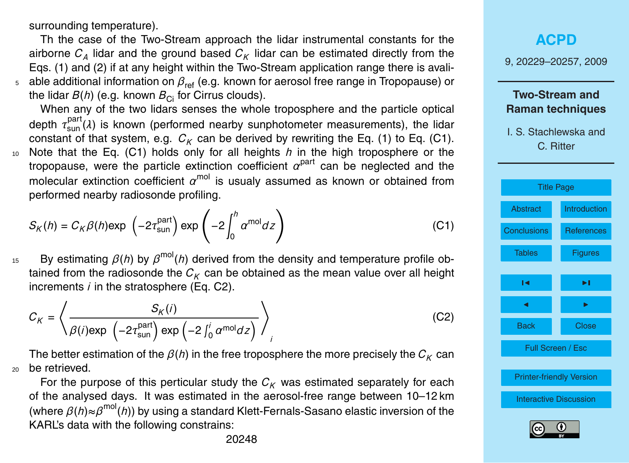surrounding temperature).

Th the case of the Two-Stream approach the lidar instrumental constants for the airborne  $C_A$  lidar and the ground based  $C_K$  lidar can be estimated directly from the Eqs. [\(1\)](#page-4-0) and [\(2\)](#page-4-0) if at any height within the Two-Stream application range there is avali-<sup>5</sup> able additional information on  $β_{ref}$  (e.g. known for aerosol free range in Tropopause) or the lidar  $B(h)$  (e.g. known  $B_{\text{Ci}}$  for Cirrus clouds).

When any of the two lidars senses the whole troposphere and the particle optical depth  $\tau_{\text{sun}}^{\text{part}}(\lambda)$  is known (performed nearby sunphotometer measurements), the lidar constant of that system, e.g.  $C_K$  can be derived by rewriting the Eq. [\(1\)](#page-4-0) to Eq. (C1). <sup>10</sup> Note that the Eq. (C1) holds only for all heights *h* in the high troposphere or the tropopause, were the particle extinction coefficient  $\alpha^{\text{part}}$  can be neglected and the molecular extinction coefficient  $\alpha^{\text{mol}}$  is usualy assumed as known or obtained from performed nearby radiosonde profiling.

$$
S_K(h) = C_K \beta(h) \exp\left(-2\tau_{\text{sun}}^{\text{part}}\right) \exp\left(-2\int_0^h \alpha^{\text{mol}} dz\right)
$$
 (C1)

<sup>15</sup> By estimating  $β(h)$  by  $β^{mol}(h)$  derived from the density and temperature profile obtained from the radiosonde the  $C_K$  can be obtained as the mean value over all height increments *i* in the stratosphere (Eq. C2).

$$
C_K = \left\langle \frac{S_K(i)}{\beta(i) \exp\left(-2\tau_{\text{sun}}^{\text{part}}\right) \exp\left(-2\int_0^i \alpha^{\text{mol}} dz\right)} \right\rangle_i
$$
 (C2)

The better estimation of the  $\beta(h)$  in the free troposphere the more precisely the  $C_K$  can <sup>20</sup> be retrieved.

For the purpose of this perticular study the  $C_K$  was estimated separately for each of the analysed days. It was estimated in the aerosol-free range between 10–12 km (where *β*(*h*)≈*β* mol(*h*)) by using a standard Klett-Fernals-Sasano elastic inversion of the KARL's data with the following constrains:

**[ACPD](http://www.atmos-chem-phys-discuss.net)** 9, 20229–20257, 2009 **Two-Stream and Raman techniques** I. S. Stachlewska and C. Ritter [Title Page](#page-0-0) [Abstract](#page-1-0) [Introduction](#page-1-0) [Conclusions](#page-15-0) [References](#page-21-0) Tables [Figures](#page-24-0) J I J I Back Close Full Screen / Esc [Printer-friendly Version](http://www.atmos-chem-phys-discuss.net/9/20229/2009/acpd-9-20229-2009-print.pdf) [Interactive Discussion](http://www.atmos-chem-phys-discuss.net/9/20229/2009/acpd-9-20229-2009-discussion.html)

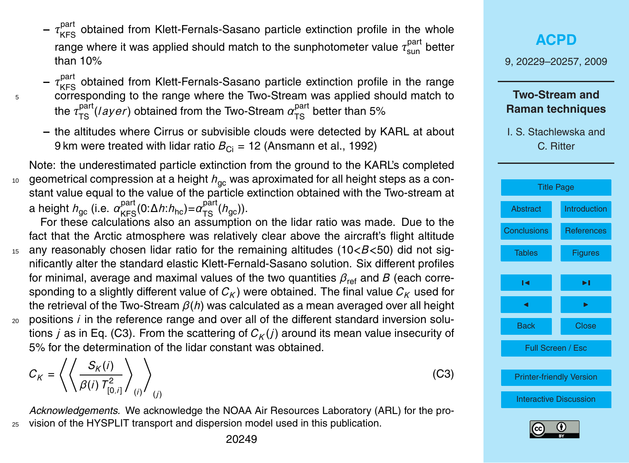- <span id="page-20-0"></span>**-** τ<sup>part</sup> obtained from Klett-Fernals-Sasano particle extinction profile in the whole range where it was applied should match to the sunphotometer value  $\tau_\mathsf{sun}^\mathsf{part}$  better than 10%
- **–** *τ* part KFS obtained from Klett-Fernals-Sasano particle extinction profile in the range <sup>5</sup> corresponding to the range where the Two-Stream was applied should match to the  $\tau^{\text{part}}_{\text{TS}}(\textit{layer})$  obtained from the Two-Stream  $\alpha^{\text{part}}_{\text{TS}}$  better than 5%
	- **–** the altitudes where Cirrus or subvisible clouds were detected by KARL at about 9 km were treated with lidar ratio  $B_{\text{Ci}} = 12$  [\(Ansmann et al.,](#page-21-0) [1992\)](#page-21-0)

Note: the underestimated particle extinction from the ground to the KARL's completed 10 geometrical compression at a height  $h_{\alpha c}$  was aproximated for all height steps as a constant value equal to the value of the particle extinction obtained with the Two-stream at a height *h*<sub>gc</sub> (i.e.  $\alpha_{\rm KFS}^{\rm part}$ (0:Δ*h*:*h*<sub>hc</sub>)= $\alpha_{\rm TS}^{\rm part}(h_{\rm gc})$ ).

For these calculations also an assumption on the lidar ratio was made. Due to the fact that the Arctic atmosphere was relatively clear above the aircraft's flight altitude

- <sup>15</sup> any reasonably chosen lidar ratio for the remaining altitudes (10*<B<*50) did not significantly alter the standard elastic Klett-Fernald-Sasano solution. Six different profiles for minimal, average and maximal values of the two quantities  $\beta_{\text{ref}}$  and *B* (each corresponding to a slightly different value of  $C_K$ ) were obtained. The final value  $C_K$  used for the retrieval of the Two-Stream *β*(*h*) was calculated as a mean averaged over all height
- <sup>20</sup> positions *i* in the reference range and over all of the different standard inversion solutions  $j$  as in Eq. (C3). From the scattering of  $C_K(j)$  around its mean value insecurity of 5% for the determination of the lidar constant was obtained.

$$
C_K = \left\langle \left\langle \frac{S_K(i)}{\beta(i) T_{[0,i]}^2} \right\rangle_{(i)} \right\rangle_{(j)}
$$

*Acknowledgements.* We acknowledge the NOAA Air Resources Laboratory (ARL) for the pro-<sup>25</sup> vision of the HYSPLIT transport and dispersion model used in this publication.

9, 20229–20257, 2009 **Two-Stream and Raman techniques** I. S. Stachlewska and C. Ritter [Title Page](#page-0-0) [Abstract](#page-1-0) [Introduction](#page-1-0) [Conclusions](#page-15-0) [References](#page-21-0) Tables [Figures](#page-24-0) J I J I Back Close Full Screen / Esc [Printer-friendly Version](http://www.atmos-chem-phys-discuss.net/9/20229/2009/acpd-9-20229-2009-print.pdf) [Interactive Discussion](http://www.atmos-chem-phys-discuss.net/9/20229/2009/acpd-9-20229-2009-discussion.html)

**[ACPD](http://www.atmos-chem-phys-discuss.net)**



(C3)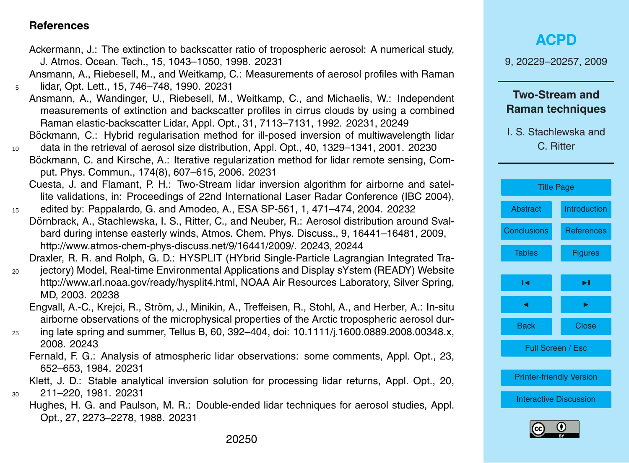### <span id="page-21-0"></span>**References**

- Ackermann, J.: The extinction to backscatter ratio of tropospheric aerosol: A numerical study, J. Atmos. Ocean. Tech., 15, 1043–1050, 1998. [20231](#page-2-0)
- Ansmann, A., Riebesell, M., and Weitkamp, C.: Measurements of aerosol profiles with Raman <sup>5</sup> lidar, Opt. Lett., 15, 746–748, 1990. [20231](#page-2-0)
	- Ansmann, A., Wandinger, U., Riebesell, M., Weitkamp, C., and Michaelis, W.: Independent measurements of extinction and backscatter profiles in cirrus clouds by using a combined Raman elastic-backscatter Lidar, Appl. Opt., 31, 7113–7131, 1992. [20231,](#page-2-0) [20249](#page-20-0) Böckmann, C.: Hybrid regularisation method for ill-posed inversion of multiwavelength lidar
- <sup>10</sup> data in the retrieval of aerosol size distribution, Appl. Opt., 40, 1329–1341, 2001. [20230](#page-1-0)
- Böckmann, C. and Kirsche, A.: Iterative regularization method for lidar remote sensing, Comput. Phys. Commun., 174(8), 607–615, 2006. [20231](#page-2-0)
- Cuesta, J. and Flamant, P. H.: Two-Stream lidar inversion algorithm for airborne and satellite validations, in: Proceedings of 22nd International Laser Radar Conference (IBC 2004),
- <sup>15</sup> edited by: Pappalardo, G. and Amodeo, A., ESA SP-561, 1, 471–474, 2004. [20232](#page-3-0) Dörnbrack, A., Stachlewska, I. S., Ritter, C., and Neuber, R.; Aerosol distribution around Svalbard during intense easterly winds, Atmos. Chem. Phys. Discuss., 9, 16441–16481, 2009, [http://www.atmos-chem-phys-discuss.net/9/16441/2009/.](http://www.atmos-chem-phys-discuss.net/9/16441/2009/) [20243,](#page-14-0) [20244](#page-15-0)

Draxler, R. R. and Rolph, G. D.: HYSPLIT (HYbrid Single-Particle Lagrangian Integrated Tra-

- <sup>20</sup> jectory) Model, Real-time Environmental Applications and Display sYstem (READY) Website [http://www.arl.noaa.gov/ready/hysplit4.html,](http://www.arl.noaa.gov/ready/hysplit4.html) NOAA Air Resources Laboratory, Silver Spring, MD, 2003. [20238](#page-9-0)
	- Engvall, A.-C., Krejci, R., Ström, J., Minikin, A., Treffeisen, R., Stohl, A., and Herber, A.: In-situ airborne observations of the microphysical properties of the Arctic tropospheric aerosol dur-
- <sup>25</sup> ing late spring and summer, Tellus B, 60, 392–404, doi: 10.1111/j.1600.0889.2008.00348.x, 2008. [20243](#page-14-0)
	- Fernald, F. G.: Analysis of atmospheric lidar observations: some comments, Appl. Opt., 23, 652–653, 1984. [20231](#page-2-0)

Klett, J. D.: Stable analytical inversion solution for processing lidar returns, Appl. Opt., 20, <sup>30</sup> 211–220, 1981. [20231](#page-2-0)

Hughes, H. G. and Paulson, M. R.: Double-ended lidar techniques for aerosol studies, Appl. Opt., 27, 2273–2278, 1988. [20231](#page-2-0)

9, 20229–20257, 2009

## **Two-Stream and Raman techniques**



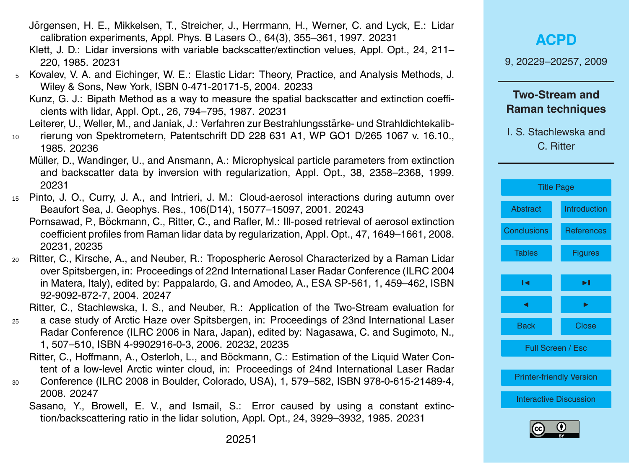20251

- <span id="page-22-0"></span>Jörgensen, H. E., Mikkelsen, T., Streicher, J., Herrmann, H., Werner, C. and Lyck, E.: Lidar calibration experiments, Appl. Phys. B Lasers O., 64(3), 355–361, 1997. [20231](#page-2-0)
- Klett, J. D.: Lidar inversions with variable backscatter/extinction velues, Appl. Opt., 24, 211– 220, 1985. [20231](#page-2-0)
- <sup>5</sup> Kovalev, V. A. and Eichinger, W. E.: Elastic Lidar: Theory, Practice, and Analysis Methods, J. Wiley & Sons, New York, ISBN 0-471-20171-5, 2004. [20233](#page-4-0)
	- Kunz, G. J.: Bipath Method as a way to measure the spatial backscatter and extinction coefficients with lidar, Appl. Opt., 26, 794–795, 1987. [20231](#page-2-0)
	- Leiterer, U., Weller, M., and Janiak, J.: Verfahren zur Bestrahlungsstärke- und Strahldichtekalib-
- <sup>10</sup> rierung von Spektrometern, Patentschrift DD 228 631 A1, WP GO1 D/265 1067 v. 16.10., 1985. [20236](#page-7-0)
	- Müller, D., Wandinger, U., and Ansmann, A.: Microphysical particle parameters from extinction and backscatter data by inversion with regularization, Appl. Opt., 38, 2358–2368, 1999. [20231](#page-2-0)
- <sup>15</sup> Pinto, J. O., Curry, J. A., and Intrieri, J. M.: Cloud-aerosol interactions during autumn over Beaufort Sea, J. Geophys. Res., 106(D14), 15077–15097, 2001. [20243](#page-14-0)
	- Pornsawad, P., Böckmann, C., Ritter, C., and Rafler, M.: III-posed retrieval of aerosol extinction coefficient profiles from Raman lidar data by regularization, Appl. Opt., 47, 1649–1661, 2008. [20231,](#page-2-0) [20235](#page-6-0)
- <sup>20</sup> Ritter, C., Kirsche, A., and Neuber, R.: Tropospheric Aerosol Characterized by a Raman Lidar over Spitsbergen, in: Proceedings of 22nd International Laser Radar Conference (ILRC 2004 in Matera, Italy), edited by: Pappalardo, G. and Amodeo, A., ESA SP-561, 1, 459–462, ISBN 92-9092-872-7, 2004. [20247](#page-18-0)

Ritter, C., Stachlewska, I. S., and Neuber, R.: Application of the Two-Stream evaluation for

- <sup>25</sup> a case study of Arctic Haze over Spitsbergen, in: Proceedings of 23nd International Laser Radar Conference (ILRC 2006 in Nara, Japan), edited by: Nagasawa, C. and Sugimoto, N., 1, 507–510, ISBN 4-9902916-0-3, 2006. [20232,](#page-3-0) [20235](#page-6-0)
	- Ritter, C., Hoffmann, A., Osterloh, L., and Böckmann, C.: Estimation of the Liquid Water Content of a low-level Arctic winter cloud, in: Proceedings of 24nd International Laser Radar
- <sup>30</sup> Conference (ILRC 2008 in Boulder, Colorado, USA), 1, 579–582, ISBN 978-0-615-21489-4, 2008. [20247](#page-18-0)
	- Sasano, Y., Browell, E. V., and Ismail, S.: Error caused by using a constant extinction/backscattering ratio in the lidar solution, Appl. Opt., 24, 3929–3932, 1985. [20231](#page-2-0)

# **[ACPD](http://www.atmos-chem-phys-discuss.net)**

9, 20229–20257, 2009

## **Two-Stream and Raman techniques**



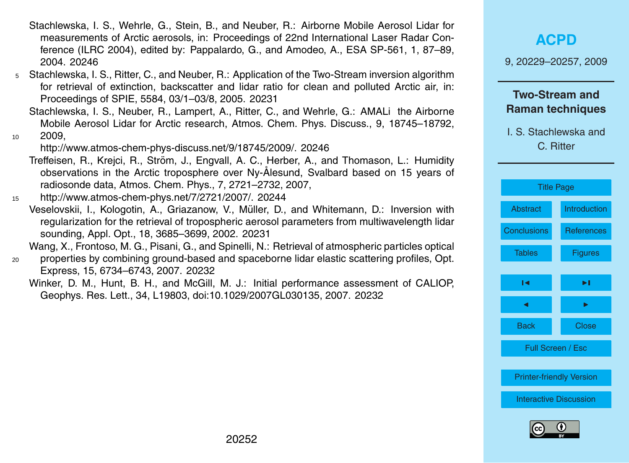- <span id="page-23-0"></span>Stachlewska, I. S., Wehrle, G., Stein, B., and Neuber, R.: Airborne Mobile Aerosol Lidar for measurements of Arctic aerosols, in: Proceedings of 22nd International Laser Radar Conference (ILRC 2004), edited by: Pappalardo, G., and Amodeo, A., ESA SP-561, 1, 87–89, 2004. [20246](#page-17-0)
- <sup>5</sup> Stachlewska, I. S., Ritter, C., and Neuber, R.: Application of the Two-Stream inversion algorithm for retrieval of extinction, backscatter and lidar ratio for clean and polluted Arctic air, in: Proceedings of SPIE, 5584, 03/1–03/8, 2005. [20231](#page-2-0)
- Stachlewska, I. S., Neuber, R., Lampert, A., Ritter, C., and Wehrle, G.: AMALi the Airborne Mobile Aerosol Lidar for Arctic research, Atmos. Chem. Phys. Discuss., 9, 18745–18792, <sup>10</sup> 2009,

[http://www.atmos-chem-phys-discuss.net/9/18745/2009/.](http://www.atmos-chem-phys-discuss.net/9/18745/2009/) [20246](#page-17-0)

Treffeisen, R., Krejci, R., Ström, J., Engvall, A. C., Herber, A., and Thomason, L.: Humidity observations in the Arctic troposphere over Ny-Ålesund, Svalbard based on 15 years of radiosonde data, Atmos. Chem. Phys., 7, 2721–2732, 2007,

<sup>15</sup> [http://www.atmos-chem-phys.net/7/2721/2007/.](http://www.atmos-chem-phys.net/7/2721/2007/) [20244](#page-15-0)

Veselovskii, I., Kologotin, A., Griazanow, V., Muller, D., and Whitemann, D.: Inversion with ¨ regularization for the retrieval of tropospheric aerosol parameters from multiwavelength lidar sounding, Appl. Opt., 18, 3685–3699, 2002. [20231](#page-2-0)

Wang, X., Frontoso, M. G., Pisani, G., and Spinelli, N.: Retrieval of atmospheric particles optical

<sup>20</sup> properties by combining ground-based and spaceborne lidar elastic scattering profiles, Opt. Express, 15, 6734–6743, 2007. [20232](#page-3-0)

Winker, D. M., Hunt, B. H., and McGill, M. J.: Initial performance assessment of CALIOP, Geophys. Res. Lett., 34, L19803, doi:10.1029/2007GL030135, 2007. [20232](#page-3-0)

| <b>ACPD</b><br>9, 20229-20257, 2009              |              |  |
|--------------------------------------------------|--------------|--|
| <b>Two-Stream and</b><br><b>Raman techniques</b> |              |  |
| I. S. Stachlewska and<br>C. Ritter               |              |  |
|                                                  |              |  |
| <b>Title Page</b>                                |              |  |
| Abstract                                         | Introduction |  |

| <b>Title Page</b>               |                   |  |
|---------------------------------|-------------------|--|
| Abstract                        | Introduction      |  |
| <b>Conclusions</b>              | <b>References</b> |  |
| <b>Tables</b>                   | <b>Figures</b>    |  |
|                                 |                   |  |
| ıч                              | ы                 |  |
|                                 |                   |  |
| Back                            | <b>Close</b>      |  |
| <b>Full Screen / Esc</b>        |                   |  |
|                                 |                   |  |
| <b>Printer-friendly Version</b> |                   |  |
| <b>Interactive Discussion</b>   |                   |  |
|                                 |                   |  |

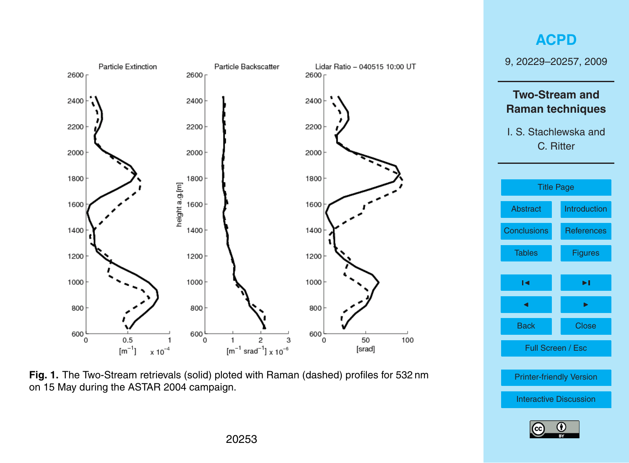<span id="page-24-0"></span>



[Printer-friendly Version](http://www.atmos-chem-phys-discuss.net/9/20229/2009/acpd-9-20229-2009-print.pdf)

[Interactive Discussion](http://www.atmos-chem-phys-discuss.net/9/20229/2009/acpd-9-20229-2009-discussion.html)

Fig. 1. The Two-Stream retrievals (solid) ploted with Raman (dashed) profiles for 532 nm on 15 May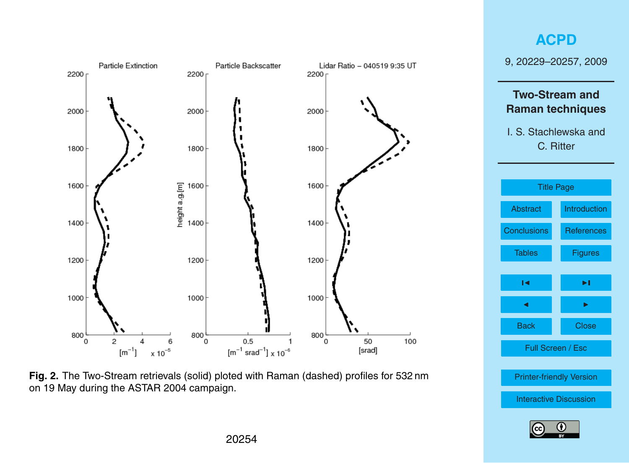<span id="page-25-0"></span>





[Printer-friendly Version](http://www.atmos-chem-phys-discuss.net/9/20229/2009/acpd-9-20229-2009-print.pdf)

[Interactive Discussion](http://www.atmos-chem-phys-discuss.net/9/20229/2009/acpd-9-20229-2009-discussion.html)

Fig. 2. The Two-Stream retrievals (solid) ploted with Raman (dashed) profiles for 532 nm on 19 May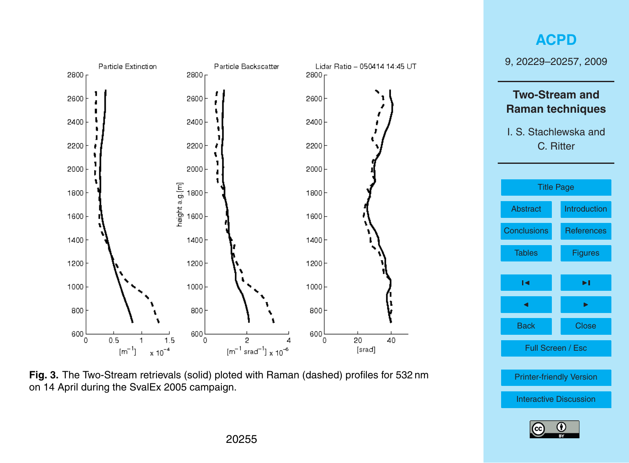<span id="page-26-0"></span>



[Printer-friendly Version](http://www.atmos-chem-phys-discuss.net/9/20229/2009/acpd-9-20229-2009-print.pdf)

[Interactive Discussion](http://www.atmos-chem-phys-discuss.net/9/20229/2009/acpd-9-20229-2009-discussion.html)

Fig. 3. The Two-Stream retrievals (solid) ploted with Raman (dashed) profiles for 532 nm on 14 April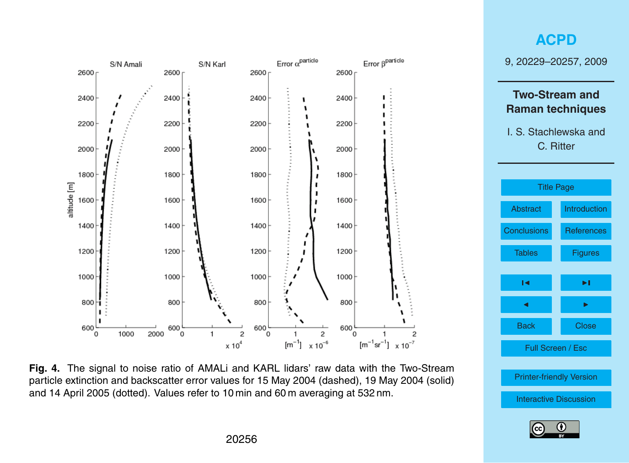

**Fig. 4.** The signal to noise ratio of AMALi and KARL lidars' raw data with the Two-Stream particle extinction and backscatter error values for 15 May 2004 (dashed), 19 May 2004 (solid) and 14 April 2005 (dotted). Values refer to 10 min and 60 m averaging at 532 nm.

<span id="page-27-0"></span>